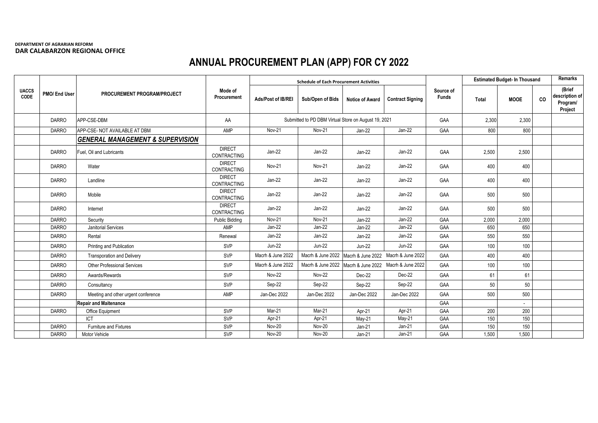## **DEPARTMENT OF AGRARIAN REFORM DAR CALABARZON REGIONAL OFFICE**

## **ANNUAL PROCUREMENT PLAN (APP) FOR CY 2022**

|                      |               |                                             |                                     |                                                      | <b>Schedule of Each Procurement Activities</b>        |                                     |                         |                           | <b>Estimated Budget- In Thousand</b> |                          |    | <b>Remarks</b>                                  |
|----------------------|---------------|---------------------------------------------|-------------------------------------|------------------------------------------------------|-------------------------------------------------------|-------------------------------------|-------------------------|---------------------------|--------------------------------------|--------------------------|----|-------------------------------------------------|
| <b>UACCS</b><br>CODE | PMO/ End User | PROCUREMENT PROGRAM/PROJECT                 | Mode of<br>Procurement              | Ads/Post of IB/REI                                   | Sub/Open of Bids                                      | <b>Notice of Award</b>              | <b>Contract Signing</b> | Source of<br><b>Funds</b> | Total                                | <b>MOOE</b>              | CO | (Brief<br>description of<br>Program/<br>Project |
|                      | <b>DARRO</b>  | APP-CSE-DBM                                 | AA                                  | Submitted to PD DBM Virtual Store on August 19, 2021 |                                                       |                                     |                         | GAA                       | 2,300                                | 2,300                    |    |                                                 |
|                      | <b>DARRO</b>  | APP-CSE- NOT AVAILABLE AT DBM               | AMP                                 | Nov-21                                               | Nov-21                                                | $Jan-22$                            | Jan-22                  | GAA                       | 800                                  | 800                      |    |                                                 |
|                      |               | <b>GENERAL MANAGEMENT &amp; SUPERVISION</b> |                                     |                                                      |                                                       |                                     |                         |                           |                                      |                          |    |                                                 |
|                      | <b>DARRO</b>  | Fuel, Oil and Lubricants                    | <b>DIRECT</b><br>CONTRACTING        | $Jan-22$                                             | $Jan-22$                                              | Jan-22                              | $Jan-22$                | GAA                       | 2,500                                | 2,500                    |    |                                                 |
|                      | <b>DARRO</b>  | Water                                       | <b>DIRECT</b><br>CONTRACTING        | <b>Nov-21</b>                                        | <b>Nov-21</b>                                         | Jan-22                              | Jan-22                  | GAA                       | 400                                  | 400                      |    |                                                 |
|                      | <b>DARRO</b>  | Landline                                    | <b>DIRECT</b><br><b>CONTRACTING</b> | $Jan-22$                                             | Jan-22                                                | Jan-22                              | $Jan-22$                | GAA                       | 400                                  | 400                      |    |                                                 |
|                      | <b>DARRO</b>  | Mobile                                      | <b>DIRECT</b><br><b>CONTRACTING</b> | $Jan-22$                                             | $Jan-22$                                              | $Jan-22$                            | $Jan-22$                | GAA                       | 500                                  | 500                      |    |                                                 |
|                      | <b>DARRO</b>  | Internet                                    | <b>DIRECT</b><br><b>CONTRACTING</b> | $Jan-22$                                             | Jan-22                                                | $Jan-22$                            | Jan-22                  | GAA                       | 500                                  | 500                      |    |                                                 |
|                      | <b>DARRO</b>  | Security                                    | <b>Public Bidding</b>               | <b>Nov-21</b>                                        | Nov-21                                                | $Jan-22$                            | $Jan-22$                | GAA                       | 2,000                                | 2,000                    |    |                                                 |
|                      | <b>DARRO</b>  | Janitorial Services                         | AMP                                 | $Jan-22$                                             | Jan-22                                                | Jan-22                              | $Jan-22$                | GAA                       | 650                                  | 650                      |    |                                                 |
|                      | <b>DARRO</b>  | Rental                                      | Renewal                             | $Jan-22$                                             | Jan-22                                                | Jan-22                              | Jan-22                  | GAA                       | 550                                  | 550                      |    |                                                 |
|                      | <b>DARRO</b>  | Printing and Publication                    | SVP                                 | <b>Jun-22</b>                                        | <b>Jun-22</b>                                         | <b>Jun-22</b>                       | <b>Jun-22</b>           | GAA                       | 100                                  | 100                      |    |                                                 |
|                      | <b>DARRO</b>  | <b>Transporation and Delivery</b>           | SVP                                 | Macrh & June 2022                                    | Macrh & June 2022                                     | Macrh & June 2022 Macrh & June 2022 |                         | GAA                       | 400                                  | 400                      |    |                                                 |
|                      | <b>DARRO</b>  | <b>Other Professional Services</b>          | SVP                                 | Macrh & June 2022                                    | Macrh & June 2022 Macrh & June 2022 Macrh & June 2022 |                                     |                         | GAA                       | 100                                  | 100                      |    |                                                 |
|                      | <b>DARRO</b>  | Awards/Rewards                              | SVP                                 | <b>Nov-22</b>                                        | <b>Nov-22</b>                                         | Dec-22                              | Dec-22                  | GAA                       | 61                                   | 61                       |    |                                                 |
|                      | <b>DARRO</b>  | Consultancy                                 | <b>SVP</b>                          | Sep-22                                               | Sep-22                                                | Sep-22                              | Sep-22                  | GAA                       | 50                                   | 50                       |    |                                                 |
|                      | <b>DARRO</b>  | Meeting and other urgent conference         | AMP                                 | Jan-Dec 2022                                         | Jan-Dec 2022                                          | Jan-Dec 2022                        | Jan-Dec 2022            | GAA                       | 500                                  | 500                      |    |                                                 |
|                      |               | <b>Repair and Maitenance</b>                |                                     |                                                      |                                                       |                                     |                         | GAA                       |                                      | $\overline{\phantom{a}}$ |    |                                                 |
|                      | <b>DARRO</b>  | Office Equipment                            | SVP                                 | $Mar-21$                                             | Mar-21                                                | Apr-21                              | Apr-21                  | GAA                       | 200                                  | 200                      |    |                                                 |
|                      |               | <b>ICT</b>                                  | SVP                                 | Apr-21                                               | Apr-21                                                | $May-21$                            | May-21                  | GAA                       | 150                                  | 150                      |    |                                                 |
|                      | <b>DARRO</b>  | <b>Furniture and Fixtures</b>               | <b>SVP</b>                          | <b>Nov-20</b>                                        | <b>Nov-20</b>                                         | $Jan-21$                            | $Jan-21$                | GAA                       | 150                                  | 150                      |    |                                                 |
|                      | <b>DARRO</b>  | Motor Vehicle                               | <b>SVP</b>                          | <b>Nov-20</b>                                        | Nov-20                                                | $Jan-21$                            | $Jan-21$                | GAA                       | 1,500                                | 1,500                    |    |                                                 |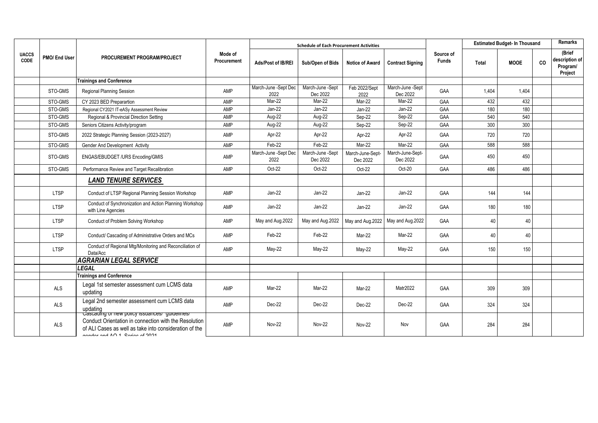|                      |               | PROCUREMENT PROGRAM/PROJECT                                                                                                                                                                         |                        |                              | <b>Schedule of Each Procurement Activities</b> |                              |                              |                           |              | <b>Estimated Budget- In Thousand</b> |    |                                                 |
|----------------------|---------------|-----------------------------------------------------------------------------------------------------------------------------------------------------------------------------------------------------|------------------------|------------------------------|------------------------------------------------|------------------------------|------------------------------|---------------------------|--------------|--------------------------------------|----|-------------------------------------------------|
| <b>UACCS</b><br>CODE | PMO/ End User |                                                                                                                                                                                                     | Mode of<br>Procurement | Ads/Post of IB/REI           | Sub/Open of Bids                               | <b>Notice of Award</b>       | <b>Contract Signing</b>      | Source of<br><b>Funds</b> | <b>Total</b> | <b>MOOE</b>                          | co | (Brief<br>description of<br>Program/<br>Project |
|                      |               | <b>Trainings and Conference</b>                                                                                                                                                                     |                        |                              |                                                |                              |                              |                           |              |                                      |    |                                                 |
|                      | STO-GMS       | Regional Planning Session                                                                                                                                                                           | AMP                    | March-June -Sept Dec<br>2022 | March-June -Sept<br>Dec 2022                   | Feb 2022/Sept<br>2022        | March-June -Sept<br>Dec 2022 | GAA                       | 1.404        | 1.404                                |    |                                                 |
|                      | STO-GMS       | CY 2023 BED Preparartion                                                                                                                                                                            | AMP                    | Mar-22                       | Mar-22                                         | Mar-22                       | Mar-22                       | GAA                       | 432          | 432                                  |    |                                                 |
|                      | STO-GMS       | Regional CY2021 IT-eASy Assessment Review                                                                                                                                                           | AMP                    | Jan-22                       | Jan-22                                         | Jan-22                       | Jan-22                       | GAA                       | 180          | 180                                  |    |                                                 |
|                      | STO-GMS       | Regional & Provincial Direction Setting                                                                                                                                                             | AMP                    | Aug-22                       | Aug-22                                         | Sep-22                       | Sep-22                       | GAA                       | 540          | 540                                  |    |                                                 |
|                      | STO-GMS       | Seniors Citizens Activity/program                                                                                                                                                                   | AMP                    | Aug-22                       | Aug-22                                         | Sep-22                       | Sep-22                       | GAA                       | 300          | 300                                  |    |                                                 |
|                      | STO-GMS       | 2022 Strategic Planning Session (2023-2027)                                                                                                                                                         | AMP                    | Apr-22                       | Apr-22                                         | Apr-22                       | Apr-22                       | GAA                       | 720          | 720                                  |    |                                                 |
|                      | STO-GMS       | <b>Gender And Development Activity</b>                                                                                                                                                              | AMP                    | $Feb-22$                     | Feb-22                                         | Mar-22                       | $Mar-22$                     | GAA                       | 588          | 588                                  |    |                                                 |
|                      | STO-GMS       | ENGAS/EBUDGET /URS Encoding/GMIS                                                                                                                                                                    | AMP                    | March-June -Sept Dec<br>2022 | March-June -Sept<br>Dec 2022                   | March-June-Sept-<br>Dec 2022 | March-June-Sept-<br>Dec 2022 | GAA                       | 450          | 450                                  |    |                                                 |
|                      | STO-GMS       | Performance Review and Target Recalibration                                                                                                                                                         | AMP                    | Oct-22                       | Oct-22                                         | Oct-22                       | Oct-20                       | GAA                       | 486          | 486                                  |    |                                                 |
|                      |               | <b>LAND TENURE SERVICES</b>                                                                                                                                                                         |                        |                              |                                                |                              |                              |                           |              |                                      |    |                                                 |
|                      | LTSP          | Conduct of LTSP Regional Planning Session Workshop                                                                                                                                                  | AMP                    | Jan-22                       | Jan-22                                         | Jan-22                       | Jan-22                       | GAA                       | 144          | 144                                  |    |                                                 |
|                      | LTSP          | Conduct of Synchronization and Action Planning Workshop<br>with Line Agencies                                                                                                                       | AMP                    | Jan-22                       | Jan-22                                         | Jan-22                       | Jan-22                       | GAA                       | 180          | 180                                  |    |                                                 |
|                      | LTSP          | Conduct of Problem Solving Workshop                                                                                                                                                                 | AMP                    | May and Aug.2022             | May and Aug.2022                               | May and Aug.2022             | May and Aug.2022             | GAA                       | 40           | 40                                   |    |                                                 |
|                      | LTSP          | Conduct/ Cascading of Administrative Orders and MCs                                                                                                                                                 | AMP                    | Feb-22                       | Feb-22                                         | Mar-22                       | Mar-22                       | GAA                       | 40           | 40                                   |    |                                                 |
|                      | LTSP          | Conduct of Regional Mtg/Monitoring and Reconciliation of<br>Data/Acc                                                                                                                                | AMP                    | $May-22$                     | $May-22$                                       | $May-22$                     | $May-22$                     | GAA                       | 150          | 150                                  |    |                                                 |
|                      |               | <b>AGRARIAN LEGAL SERVICE</b>                                                                                                                                                                       |                        |                              |                                                |                              |                              |                           |              |                                      |    |                                                 |
|                      |               | <b>LEGAL</b>                                                                                                                                                                                        |                        |                              |                                                |                              |                              |                           |              |                                      |    |                                                 |
|                      |               | <b>Trainings and Conference</b>                                                                                                                                                                     |                        |                              |                                                |                              |                              |                           |              |                                      |    |                                                 |
|                      | ALS           | Legal 1st semester assessment cum LCMS data<br>updating                                                                                                                                             | AMP                    | Mar-22                       | Mar-22                                         | Mar-22                       | Matr2022                     | GAA                       | 309          | 309                                  |    |                                                 |
|                      | ALS           | Legal 2nd semester assessment cum LCMS data<br>updating                                                                                                                                             | AMP                    | Dec-22                       | Dec-22                                         | Dec-22                       | Dec-22                       | GAA                       | 324          | 324                                  |    |                                                 |
|                      | <b>ALS</b>    | Cascading or new policy issuances/ guidelines/<br>Conduct Orientation in connection with the Resolution<br>of ALI Cases as well as take into consideration of the<br>Ander and AO 1. Caring of 2004 | AMP                    | <b>Nov-22</b>                | <b>Nov-22</b>                                  | <b>Nov-22</b>                | Nov                          | GAA                       | 284          | 284                                  |    |                                                 |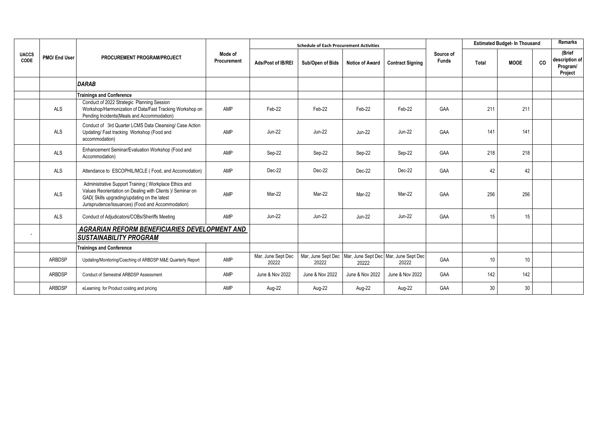|                      | PMO/ End User | <b>PROCUREMENT PROGRAM/PROJECT</b>                                                                                                                                                                                       |                        |                             | <b>Schedule of Each Procurement Activities</b>                        |                        |                         |                           | <b>Estimated Budget- In Thousand</b> |                 |    | <b>Remarks</b>                                  |  |
|----------------------|---------------|--------------------------------------------------------------------------------------------------------------------------------------------------------------------------------------------------------------------------|------------------------|-----------------------------|-----------------------------------------------------------------------|------------------------|-------------------------|---------------------------|--------------------------------------|-----------------|----|-------------------------------------------------|--|
| <b>UACCS</b><br>CODE |               |                                                                                                                                                                                                                          | Mode of<br>Procurement | Ads/Post of IB/REI          | Sub/Open of Bids                                                      | <b>Notice of Award</b> | <b>Contract Signing</b> | Source of<br><b>Funds</b> | Total                                | <b>MOOE</b>     | co | (Brief<br>description of<br>Program/<br>Project |  |
|                      |               | <b>DARAB</b>                                                                                                                                                                                                             |                        |                             |                                                                       |                        |                         |                           |                                      |                 |    |                                                 |  |
|                      |               | <b>Trainings and Conference</b>                                                                                                                                                                                          |                        |                             |                                                                       |                        |                         |                           |                                      |                 |    |                                                 |  |
|                      | <b>ALS</b>    | Conduct of 2022 Strategic Planning Session<br>Workshop/Harmonization of Data/Fast Tracking Workshop on<br>Pending Incidents (Meals and Accommodation)                                                                    | AMP                    | Feb-22                      | Feb-22                                                                | Feb-22                 | Feb-22                  | GAA                       | 211                                  | 211             |    |                                                 |  |
|                      | <b>ALS</b>    | Conduct of 3rd Quarter LCMS Data Cleansing/ Case Action<br>Updating/Fast tracking Workshop (Food and<br>accommodation)                                                                                                   | AMP                    | $Jun-22$                    | <b>Jun-22</b>                                                         | <b>Jun-22</b>          | $Jun-22$                | GAA                       | 141                                  | 141             |    |                                                 |  |
|                      | ALS           | Enhancement Seminar/Evaluation Workshop (Food and<br>Accommodation)                                                                                                                                                      | AMP                    | Sep-22                      | Sep-22                                                                | Sep-22                 | Sep-22                  | GAA                       | 218                                  | 218             |    |                                                 |  |
|                      | <b>ALS</b>    | Attendance to ESCOPHIL/MCLE (Food, and Accomodation)                                                                                                                                                                     | AMP                    | Dec-22                      | Dec-22                                                                | Dec-22                 | Dec-22                  | GAA                       | 42                                   | 42              |    |                                                 |  |
|                      | <b>ALS</b>    | Administrative Support Training (Workplace Ethics and<br>Values Reorientation on Dealing with Clients )/ Seminar on<br>GAD( Skills upgrading/updating on the latest<br>Jurisprudence/Issuances) (Food and Accommodation) | AMP                    | Mar-22                      | Mar-22                                                                | Mar-22                 | Mar-22                  | GAA                       | 256                                  | 256             |    |                                                 |  |
|                      | <b>ALS</b>    | Conduct of Adjudicators/COBs/Sheriffs Meeting                                                                                                                                                                            | AMP                    | <b>Jun-22</b>               | <b>Jun-22</b>                                                         | <b>Jun-22</b>          | <b>Jun-22</b>           | GAA                       | 15                                   | 15              |    |                                                 |  |
|                      |               | AGRARIAN REFORM BENEFICIARIES DEVELOPMENT AND<br><b>SUSTAINABILITY PROGRAM</b>                                                                                                                                           |                        |                             |                                                                       |                        |                         |                           |                                      |                 |    |                                                 |  |
|                      |               | <b>Trainings and Conference</b>                                                                                                                                                                                          |                        |                             |                                                                       |                        |                         |                           |                                      |                 |    |                                                 |  |
|                      | ARBDSP        | Updating/Monitoring/Coaching of ARBDSP M&E Quarterly Report                                                                                                                                                              | AMP                    | Mar, June Sept Dec<br>20222 | Mar, June Sept Dec   Mar, June Sept Dec   Mar, June Sept Dec<br>20222 | 20222                  | 20222                   | GAA                       | 10 <sup>1</sup>                      | 10 <sup>°</sup> |    |                                                 |  |
|                      | ARBDSP        | <b>Conduct of Semestral ARBDSP Assessment</b>                                                                                                                                                                            | AMP                    | June & Nov 2022             | June & Nov 2022                                                       | June & Nov 2022        | June & Nov 2022         | GAA                       | 142                                  | 142             |    |                                                 |  |
|                      | <b>ARBDSP</b> | eLearning for Product costing and pricing                                                                                                                                                                                | AMP                    | Aug-22                      | Aug-22                                                                | Aug-22                 | Aug-22                  | GAA                       | 30 <sup>°</sup>                      | 30              |    |                                                 |  |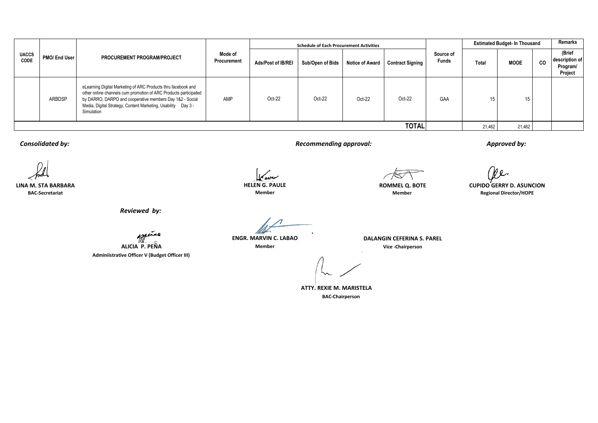| <b>UACCS</b><br>CODE | PMO/ End User |                                                                                                                                                                                                                                                                              |                        |                           | <b>Schedule of Each Procurement Activities</b> |                        |                         |                           | <b>Estimated Budget- In Thousand</b> | Remarks     |    |                                                 |
|----------------------|---------------|------------------------------------------------------------------------------------------------------------------------------------------------------------------------------------------------------------------------------------------------------------------------------|------------------------|---------------------------|------------------------------------------------|------------------------|-------------------------|---------------------------|--------------------------------------|-------------|----|-------------------------------------------------|
|                      |               | PROCUREMENT PROGRAM/PROJECT                                                                                                                                                                                                                                                  | Mode of<br>Procurement | <b>Ads/Post of IB/REI</b> | Sub/Open of Bids                               | <b>Notice of Award</b> | <b>Contract Signing</b> | Source of<br><b>Funds</b> | Total                                | <b>MOOE</b> | CO | (Brief<br>description of<br>Program/<br>Project |
|                      | ARBDSP        | eLearning Digital Marketing of ARC Products thru facebook and<br>other online channels cum promotion of ARC Products participated<br>by DARRO, DARPO and cooperative members Day 1&2 - Social<br>Media, Digital Strategy, Content Marketing, Usability Day 3 -<br>Simulation | AMP                    | $Oct-22$                  | Oct-22                                         | Oct-22                 | $Oct-22$                | GAA                       |                                      | 15          |    |                                                 |
| <b>TOTAL</b>         |               |                                                                                                                                                                                                                                                                              |                        |                           |                                                |                        |                         |                           | 21,462                               | 21,462      |    |                                                 |

*Consolidated by: Recommending approval:*

*Reviewed by:*

**ALICIA P. PEÑA**

**Adminiistrative Officer V (Budget Officer III)**

سيسملا

*Approved by:*

We.

**BAC-Secretariat Member Member Regional Director/HOPE LINA M. STA BARBARA HELEN G. PAULE ROMMEL Q. BOTE CUPIDO GERRY D. ASUNCION**

**ENGR. MARVIN C. LABAO DALANGIN CEFERINA S. PAREL**

**Member Vice -Chairperson**

 **BAC-Chairperson BAC-Chairperson ATTY. REXIE M. MARISTELA**